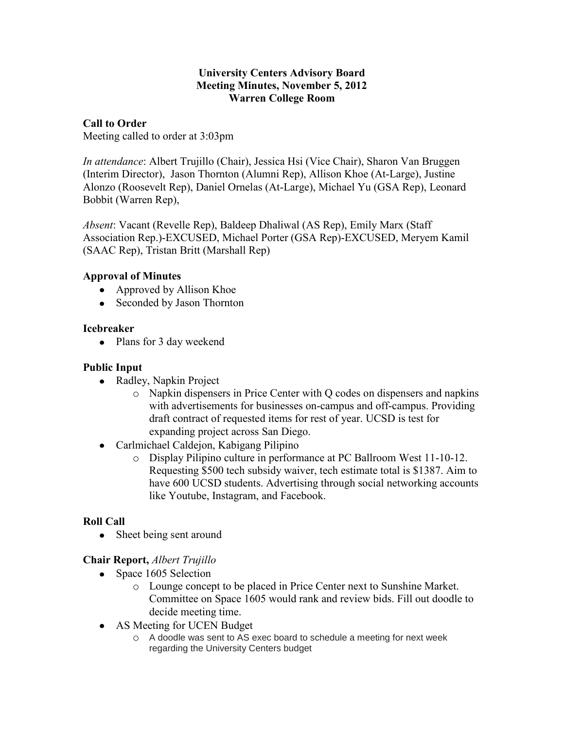#### **University Centers Advisory Board Meeting Minutes, November 5, 2012 Warren College Room**

## **Call to Order**

Meeting called to order at 3:03pm

*In attendance*: Albert Trujillo (Chair), Jessica Hsi (Vice Chair), Sharon Van Bruggen (Interim Director), Jason Thornton (Alumni Rep), Allison Khoe (At-Large), Justine Alonzo (Roosevelt Rep), Daniel Ornelas (At-Large), Michael Yu (GSA Rep), Leonard Bobbit (Warren Rep),

*Absent*: Vacant (Revelle Rep), Baldeep Dhaliwal (AS Rep), Emily Marx (Staff Association Rep.)-EXCUSED, Michael Porter (GSA Rep)-EXCUSED, Meryem Kamil (SAAC Rep), Tristan Britt (Marshall Rep)

## **Approval of Minutes**

- Approved by Allison Khoe
- Seconded by Jason Thornton

### **Icebreaker**

• Plans for 3 day weekend

## **Public Input**

- Radley, Napkin Project
	- o Napkin dispensers in Price Center with Q codes on dispensers and napkins with advertisements for businesses on-campus and off-campus. Providing draft contract of requested items for rest of year. UCSD is test for expanding project across San Diego.
- Carlmichael Caldejon, Kabigang Pilipino
	- o Display Pilipino culture in performance at PC Ballroom West 11-10-12. Requesting \$500 tech subsidy waiver, tech estimate total is \$1387. Aim to have 600 UCSD students. Advertising through social networking accounts like Youtube, Instagram, and Facebook.

# **Roll Call**

• Sheet being sent around

# **Chair Report,** *Albert Trujillo*

- Space 1605 Selection
	- o Lounge concept to be placed in Price Center next to Sunshine Market. Committee on Space 1605 would rank and review bids. Fill out doodle to decide meeting time.
- AS Meeting for UCEN Budget
	- o A doodle was sent to AS exec board to schedule a meeting for next week regarding the University Centers budget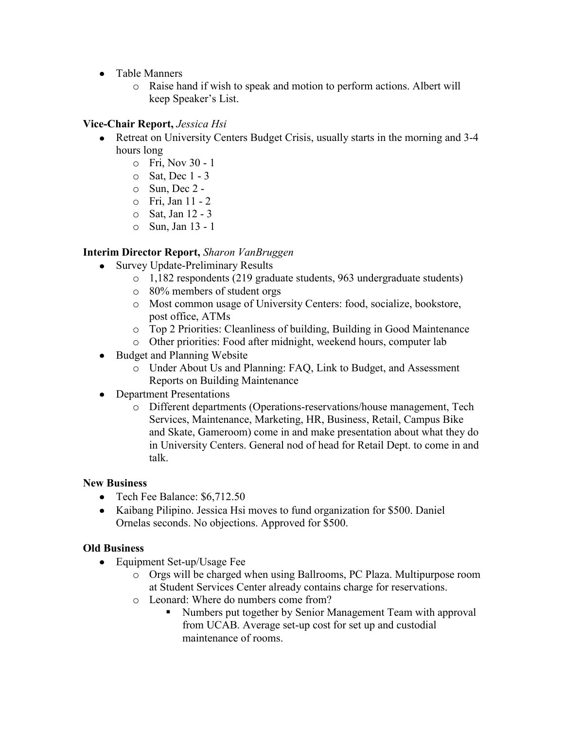- Table Manners
	- o Raise hand if wish to speak and motion to perform actions. Albert will keep Speaker's List.

# **Vice-Chair Report,** *Jessica Hsi*

- Retreat on University Centers Budget Crisis, usually starts in the morning and 3-4 hours long
	- o Fri, Nov 30 1
	- o Sat, Dec 1 3
	- $\circ$  Sun, Dec 2 -
	- o Fri, Jan 11 2
	- o Sat, Jan 12 3
	- o Sun, Jan 13 1

## **Interim Director Report,** *Sharon VanBruggen*

- Survey Update-Preliminary Results  $\bullet$ 
	- o 1,182 respondents (219 graduate students, 963 undergraduate students)
	- o 80% members of student orgs
	- o Most common usage of University Centers: food, socialize, bookstore, post office, ATMs
	- o Top 2 Priorities: Cleanliness of building, Building in Good Maintenance
	- o Other priorities: Food after midnight, weekend hours, computer lab
- Budget and Planning Website
	- o Under About Us and Planning: FAQ, Link to Budget, and Assessment Reports on Building Maintenance
- Department Presentations
	- o Different departments (Operations-reservations/house management, Tech Services, Maintenance, Marketing, HR, Business, Retail, Campus Bike and Skate, Gameroom) come in and make presentation about what they do in University Centers. General nod of head for Retail Dept. to come in and talk.

### **New Business**

- Tech Fee Balance: \$6,712.50
- Kaibang Pilipino. Jessica Hsi moves to fund organization for \$500. Daniel Ornelas seconds. No objections. Approved for \$500.

# **Old Business**

- Equipment Set-up/Usage Fee
	- o Orgs will be charged when using Ballrooms, PC Plaza. Multipurpose room at Student Services Center already contains charge for reservations.
	- o Leonard: Where do numbers come from?
		- Numbers put together by Senior Management Team with approval from UCAB. Average set-up cost for set up and custodial maintenance of rooms.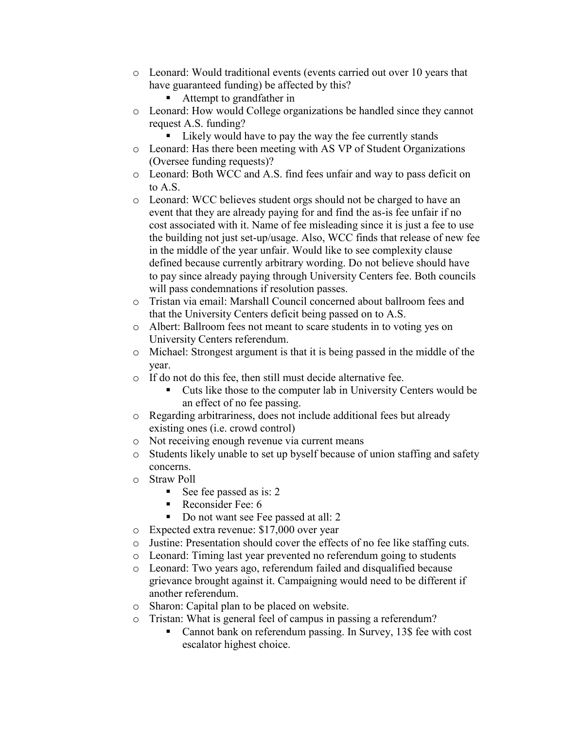- o Leonard: Would traditional events (events carried out over 10 years that have guaranteed funding) be affected by this?
	- Attempt to grandfather in
- o Leonard: How would College organizations be handled since they cannot request A.S. funding?
	- Likely would have to pay the way the fee currently stands
- o Leonard: Has there been meeting with AS VP of Student Organizations (Oversee funding requests)?
- o Leonard: Both WCC and A.S. find fees unfair and way to pass deficit on to A.S.
- o Leonard: WCC believes student orgs should not be charged to have an event that they are already paying for and find the as-is fee unfair if no cost associated with it. Name of fee misleading since it is just a fee to use the building not just set-up/usage. Also, WCC finds that release of new fee in the middle of the year unfair. Would like to see complexity clause defined because currently arbitrary wording. Do not believe should have to pay since already paying through University Centers fee. Both councils will pass condemnations if resolution passes.
- o Tristan via email: Marshall Council concerned about ballroom fees and that the University Centers deficit being passed on to A.S.
- o Albert: Ballroom fees not meant to scare students in to voting yes on University Centers referendum.
- o Michael: Strongest argument is that it is being passed in the middle of the year.
- o If do not do this fee, then still must decide alternative fee.
	- Cuts like those to the computer lab in University Centers would be an effect of no fee passing.
- o Regarding arbitrariness, does not include additional fees but already existing ones (i.e. crowd control)
- o Not receiving enough revenue via current means
- o Students likely unable to set up byself because of union staffing and safety concerns.
- o Straw Poll
	- See fee passed as is:  $2 \overline{ }$
	- Reconsider Fee:  $6 \overline{ }$
	- Do not want see Fee passed at all: 2
- o Expected extra revenue: \$17,000 over year
- o Justine: Presentation should cover the effects of no fee like staffing cuts.
- o Leonard: Timing last year prevented no referendum going to students
- o Leonard: Two years ago, referendum failed and disqualified because grievance brought against it. Campaigning would need to be different if another referendum.
- o Sharon: Capital plan to be placed on website.
- o Tristan: What is general feel of campus in passing a referendum?
	- Cannot bank on referendum passing. In Survey, 13\$ fee with cost escalator highest choice.